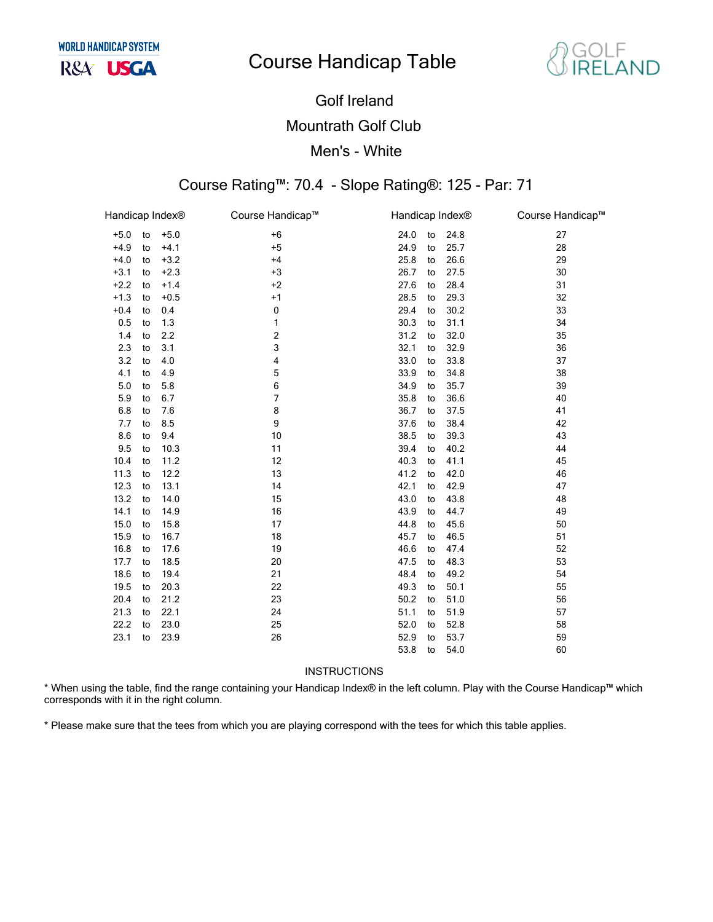# **Course Handicap Table**



## **Golf Ireland Mountrath Golf Club** Men's - White

### Course Rating™: 70.4 - Slope Rating®: 125 - Par: 71

| Handicap Index® |    |        | Course Handicap™ | Handicap Index® |    |      | Course Handicap™ |
|-----------------|----|--------|------------------|-----------------|----|------|------------------|
| $+5.0$          | to | $+5.0$ | $+6$             | 24.0            | to | 24.8 | 27               |
| $+4.9$          | to | $+4.1$ | $+5$             | 24.9            | to | 25.7 | 28               |
| $+4.0$          | to | $+3.2$ | $+4$             | 25.8            | to | 26.6 | 29               |
| $+3.1$          | to | $+2.3$ | $+3$             | 26.7            | to | 27.5 | 30               |
| $+2.2$          | to | $+1.4$ | $+2$             | 27.6            | to | 28.4 | 31               |
| $+1.3$          | to | $+0.5$ | $+1$             | 28.5            | to | 29.3 | 32               |
| $+0.4$          | to | 0.4    | 0                | 29.4            | to | 30.2 | 33               |
| 0.5             | to | 1.3    | 1                | 30.3            | to | 31.1 | 34               |
| 1.4             | to | 2.2    | 2                | 31.2            | to | 32.0 | 35               |
| 2.3             | to | 3.1    | 3                | 32.1            | to | 32.9 | 36               |
| 3.2             | to | 4.0    | 4                | 33.0            | to | 33.8 | 37               |
| 4.1             | to | 4.9    | 5                | 33.9            | to | 34.8 | 38               |
| 5.0             | to | 5.8    | 6                | 34.9            | to | 35.7 | 39               |
| 5.9             | to | 6.7    | 7                | 35.8            | to | 36.6 | 40               |
| 6.8             | to | 7.6    | 8                | 36.7            | to | 37.5 | 41               |
| 7.7             | to | 8.5    | 9                | 37.6            | to | 38.4 | 42               |
| 8.6             | to | 9.4    | 10               | 38.5            | to | 39.3 | 43               |
| 9.5             | to | 10.3   | 11               | 39.4            | to | 40.2 | 44               |
| 10.4            | to | 11.2   | 12               | 40.3            | to | 41.1 | 45               |
| 11.3            | to | 12.2   | 13               | 41.2            | to | 42.0 | 46               |
| 12.3            | to | 13.1   | 14               | 42.1            | to | 42.9 | 47               |
| 13.2            | to | 14.0   | 15               | 43.0            | to | 43.8 | 48               |
| 14.1            | to | 14.9   | 16               | 43.9            | to | 44.7 | 49               |
| 15.0            | to | 15.8   | 17               | 44.8            | to | 45.6 | 50               |
| 15.9            | to | 16.7   | 18               | 45.7            | to | 46.5 | 51               |
| 16.8            | to | 17.6   | 19               | 46.6            | to | 47.4 | 52               |
| 17.7            | to | 18.5   | 20               | 47.5            | to | 48.3 | 53               |
| 18.6            | to | 19.4   | 21               | 48.4            | to | 49.2 | 54               |
| 19.5            | to | 20.3   | 22               | 49.3            | to | 50.1 | 55               |
| 20.4            | to | 21.2   | 23               | 50.2            | to | 51.0 | 56               |
| 21.3            | to | 22.1   | 24               | 51.1            | to | 51.9 | 57               |
| 22.2            | to | 23.0   | 25               | 52.0            | to | 52.8 | 58               |
| 23.1            | to | 23.9   | 26               | 52.9            | to | 53.7 | 59               |
|                 |    |        |                  | 53.8            | to | 54.0 | 60               |

**INSTRUCTIONS** 

\* When using the table, find the range containing your Handicap Index® in the left column. Play with the Course Handicap™ which corresponds with it in the right column.

\* Please make sure that the tees from which you are playing correspond with the tees for which this table applies.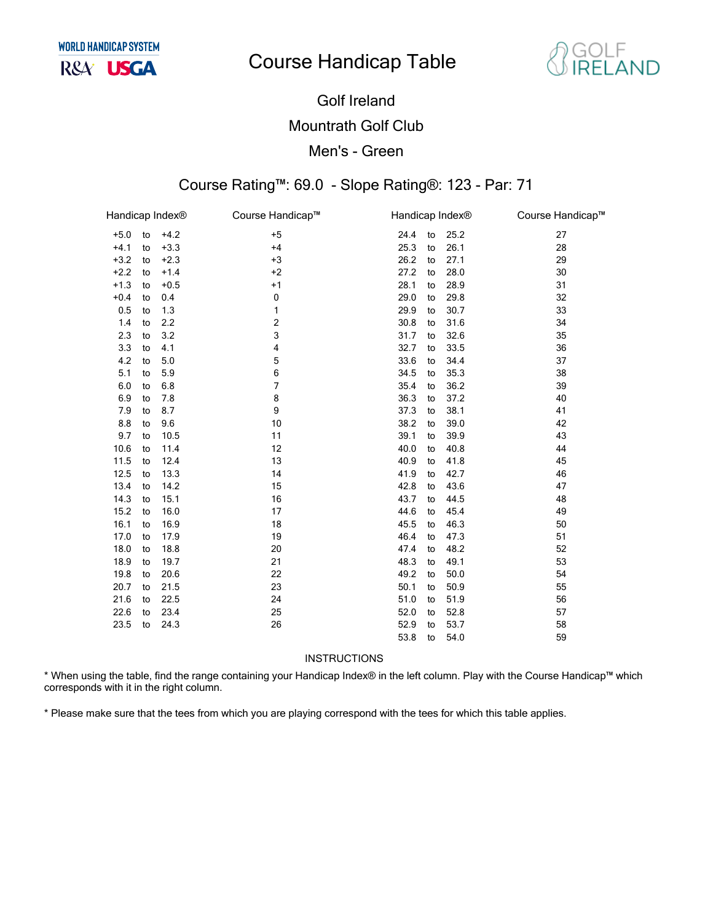# **Course Handicap Table**



## Golf Ireland Mountrath Golf Club Men's - Green

#### Course Rating™: 69.0 - Slope Rating®: 123 - Par: 71

| Handicap Index® |    |        | Course Handicap™ | Handicap Index® |    |      | Course Handicap™ |
|-----------------|----|--------|------------------|-----------------|----|------|------------------|
| $+5.0$          | to | $+4.2$ | $+5$             | 24.4            | to | 25.2 | 27               |
| $+4.1$          | to | $+3.3$ | $+4$             | 25.3            | to | 26.1 | 28               |
| $+3.2$          | to | $+2.3$ | $+3$             | 26.2            | to | 27.1 | 29               |
| $+2.2$          | to | $+1.4$ | $+2$             | 27.2            | to | 28.0 | 30               |
| $+1.3$          | to | $+0.5$ | $+1$             | 28.1            | to | 28.9 | 31               |
| $+0.4$          | to | 0.4    | 0                | 29.0            | to | 29.8 | 32               |
| 0.5             | to | 1.3    | 1                | 29.9            | to | 30.7 | 33               |
| 1.4             | to | 2.2    | 2                | 30.8            | to | 31.6 | 34               |
| 2.3             | to | 3.2    | 3                | 31.7            | to | 32.6 | 35               |
| 3.3             | to | 4.1    | 4                | 32.7            | to | 33.5 | 36               |
| 4.2             | to | 5.0    | 5                | 33.6            | to | 34.4 | 37               |
| 5.1             | to | 5.9    | 6                | 34.5            | to | 35.3 | 38               |
| 6.0             | to | 6.8    | 7                | 35.4            | to | 36.2 | 39               |
| 6.9             | to | 7.8    | 8                | 36.3            | to | 37.2 | 40               |
| 7.9             | to | 8.7    | 9                | 37.3            | to | 38.1 | 41               |
| 8.8             | to | 9.6    | 10               | 38.2            | to | 39.0 | 42               |
| 9.7             | to | 10.5   | 11               | 39.1            | to | 39.9 | 43               |
| 10.6            | to | 11.4   | 12               | 40.0            | to | 40.8 | 44               |
| 11.5            | to | 12.4   | 13               | 40.9            | to | 41.8 | 45               |
| 12.5            | to | 13.3   | 14               | 41.9            | to | 42.7 | 46               |
| 13.4            | to | 14.2   | 15               | 42.8            | to | 43.6 | 47               |
| 14.3            | to | 15.1   | 16               | 43.7            | to | 44.5 | 48               |
| 15.2            | to | 16.0   | 17               | 44.6            | to | 45.4 | 49               |
| 16.1            | to | 16.9   | 18               | 45.5            | to | 46.3 | 50               |
| 17.0            | to | 17.9   | 19               | 46.4            | to | 47.3 | 51               |
| 18.0            | to | 18.8   | 20               | 47.4            | to | 48.2 | 52               |
| 18.9            | to | 19.7   | 21               | 48.3            | to | 49.1 | 53               |
| 19.8            | to | 20.6   | 22               | 49.2            | to | 50.0 | 54               |
| 20.7            | to | 21.5   | 23               | 50.1            | to | 50.9 | 55               |
| 21.6            | to | 22.5   | 24               | 51.0            | to | 51.9 | 56               |
| 22.6            | to | 23.4   | 25               | 52.0            | to | 52.8 | 57               |
| 23.5            | to | 24.3   | 26               | 52.9            | to | 53.7 | 58               |
|                 |    |        |                  | 53.8            | to | 54.0 | 59               |

INSTRUCTIONS

\* When using the table, find the range containing your Handicap Index® in the left column. Play with the Course Handicap™ which corresponds with it in the right column.

\* Please make sure that the tees from which you are playing correspond with the tees for which this table applies.